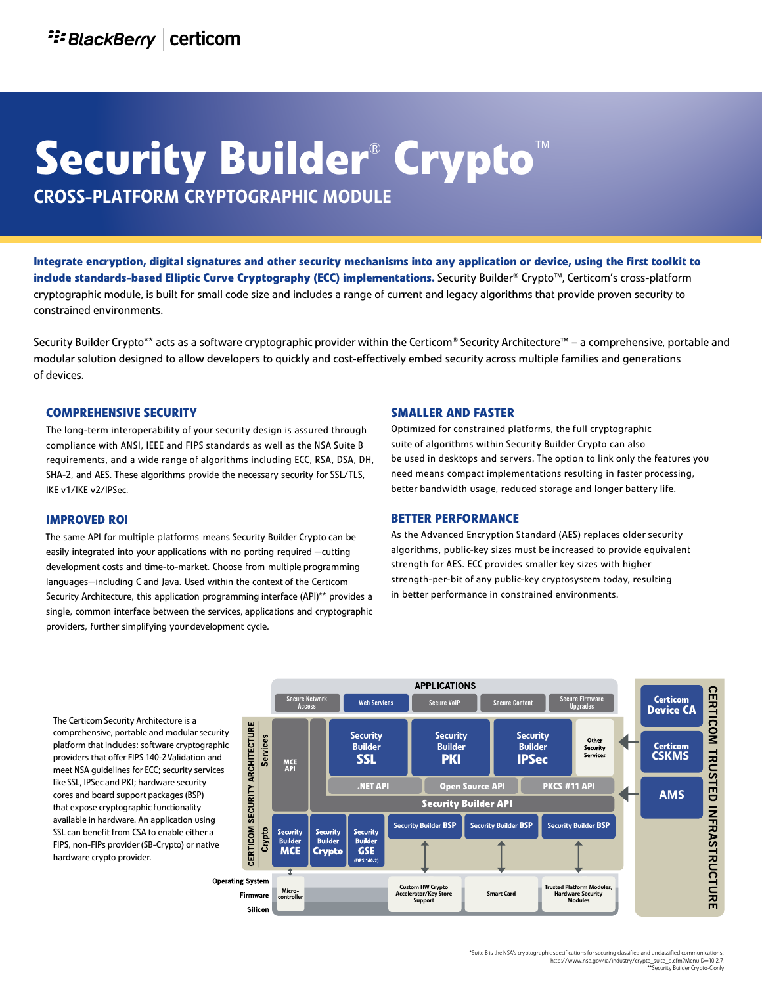# **Security Builder**®  **Crypto**™

cross-platform cryptographic module

**Integrate encryption, digital signatures and other security mechanisms into any application or device, using the first toolkit to include standards-based Elliptic Curve Cryptography (ECC) implementations.** Security Builder® Crypto™, Certicom's cross-platform cryptographic module, is built for small code size and includes a range of current and legacy algorithms that provide proven security to constrained environments.

Security Builder Crypto\*\* acts as a software cryptographic provider within the Certicom® Security Architecture™ – a comprehensive, portable and modular solution designed to allow developers to quickly and cost-effectively embed security across multiple families and generations of devices.

#### **ComprEhENSIvE SECurIty**

The long-term interoperability of your security design is assured through compliance with ANSI, IEEE and FIPS standards as well as the NSA Suite B requirements, and a wide range of algorithms including ECC, RSA, DSA, DH, SHA-2, and AES. These algorithms provide the necessary security for SSL/TLS, IKE v1/IKE v2/IPSec.

#### **ImprovEd roI**

The same API for multiple platforms means Security Builder Crypto can be easily integrated into your applications with no porting required —cutting development costs and time-to-market. Choose from multiple programming languages—including C and Java. Used within the context of the Certicom Security Architecture, this application programming interface (API)\*\* provides a single, common interface between the services, applications and cryptographic providers, further simplifying your development cycle.

#### **smaller and faster**

Optimized for constrained platforms, the full cryptographic suite of algorithms within Security Builder Crypto can also be used in desktops and servers. The option to link only the features you need means compact implementations resulting in faster processing, better bandwidth usage, reduced storage and longer battery life.

#### **better performance**

As the Advanced Encryption Standard (AES) replaces older security algorithms, public-key sizes must be increased to provide equivalent strength for AES. ECC provides smaller key sizes with higher strength-per-bit of any public-key cryptosystem today, resulting in better performance in constrained environments.

The Certicom Security Architecture is a comprehensive, portable and modular security platform that includes: software cryptographic providers that offer FIPS 140-2 Validation and meet NSA guidelines for ECC; security services like SSL, IPSec and PKI; hardware security cores and board support packages (BSP) that expose cryptographic functionality available in hardware. An application using SSL can benefit from CSA to enable either a FIPS, non-FIPs provider (SB-Crypto) or native hardware crypto provider.